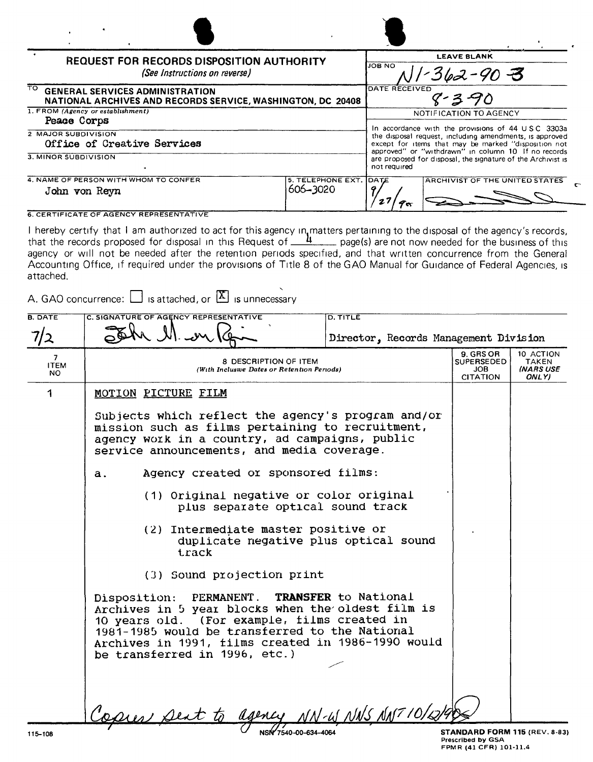| <b>REQUEST FOR RECORDS DISPOSITION AUTHORITY</b><br>(See Instructions on reverse)                            |                               | LEAVE BLANK<br>JOB NO<br>$-362 - 90 = 3$                                                                                                                                                                                                                                                                                              |  |
|--------------------------------------------------------------------------------------------------------------|-------------------------------|---------------------------------------------------------------------------------------------------------------------------------------------------------------------------------------------------------------------------------------------------------------------------------------------------------------------------------------|--|
| TO.<br><b>GENERAL SERVICES ADMINISTRATION</b><br>NATIONAL ARCHIVES AND RECORDS SERVICE, WASHINGTON, DC 20408 |                               | DATE RECEIVED<br>$8 - 3 - 90$                                                                                                                                                                                                                                                                                                         |  |
| 1. FROM (Agency or establishment)<br>Peace Corps                                                             |                               | NOTIFICATION TO AGENCY<br>In accordance with the provisions of 44 USC 3303a<br>the disposal request, including amendments, is approved<br>except for items that may be marked "disposition not<br>approved" or "withdrawn" in column 10 If no records<br>are proposed for disposal, the signature of the Archivist is<br>not required |  |
| 2 MAJOR SUBDIVISION<br>Office of Creative Services                                                           |                               |                                                                                                                                                                                                                                                                                                                                       |  |
| 3. MINOR SUBDIVISION                                                                                         |                               |                                                                                                                                                                                                                                                                                                                                       |  |
| 4. NAME OF PERSON WITH WHOM TO CONFER<br>John von Reyn                                                       | 5. TELEPHONE EXT.<br>606-3020 | <b>IDATE</b><br><b>ARCHIVIST OF THE UNITED STATES</b>                                                                                                                                                                                                                                                                                 |  |

## **6. CERTIFICATE OF AGENCY REPRESENTATIVE**

I hereby certify that I am authorized to act for this agency in matters pertaining to the disposal of the agency's records, that the records proposed for disposal in this Request of  $\frac{4}{1}$  and page(s) are not now neede agency or will not be needed after the retention periods specified, and that written concurrence from the General Accounting Office, if required under the provisions of Title 8 of the GAO Manual for Guidance of Federal Agencies, is attached.

A. GAO concurrence:  $\Box$  is attached, or  $\Box$  is unnecessary

| <b>B. DATE</b>          | C. SIGNATURE OF AGENCY REPRESENTATIVE<br><b>D. TITLE</b><br>John M. wy<br>Director, Records Management Division                                                                                                                                                                            |                                                                 |                                                        |
|-------------------------|--------------------------------------------------------------------------------------------------------------------------------------------------------------------------------------------------------------------------------------------------------------------------------------------|-----------------------------------------------------------------|--------------------------------------------------------|
| 7<br><b>ITEM</b><br>NO. | 8 DESCRIPTION OF ITEM<br>(With Inclusive Dates or Retention Periods)                                                                                                                                                                                                                       | 9. GRS OR<br><b>SUPERSEDED</b><br><b>JOB</b><br><b>CITATION</b> | 10 ACTION<br>TAKEN<br><i><b>INARS USE</b></i><br>ONLY) |
| 1                       | MOTION PICTURE FILM                                                                                                                                                                                                                                                                        |                                                                 |                                                        |
|                         | Subjects which reflect the agency's program and/or<br>mission such as films pertaining to recruitment,<br>agency work in a country, ad campaigns, public<br>service announcements, and media coverage.                                                                                     |                                                                 |                                                        |
|                         | Agency created or sponsored films:<br>$a$ .                                                                                                                                                                                                                                                |                                                                 |                                                        |
|                         | (1) Original negative or color original<br>plus separate optical sound track                                                                                                                                                                                                               |                                                                 |                                                        |
|                         | (2) Intermediate master positive or<br>duplicate negative plus optical sound<br>track                                                                                                                                                                                                      |                                                                 |                                                        |
|                         | (3) Sound projection print                                                                                                                                                                                                                                                                 |                                                                 |                                                        |
|                         | Disposition: PERMANENT. TRANSFER to National<br>Archives in 5 year blocks when the oldest film is<br>10 years old. (For example, films created in<br>1981-1985 would be transferred to the National<br>Archives in 1991, films created in 1986-1990 would<br>be transferred in 1996, etc.) |                                                                 |                                                        |
|                         | <u>U NN</u> S NAP 10/2<br>agence<br>ues Dent to                                                                                                                                                                                                                                            |                                                                 |                                                        |
| 115-108                 | NSI 7540-00-634-4064                                                                                                                                                                                                                                                                       | <b>STANDARD FORM 115 (REV. 8-83</b>                             |                                                        |

15 (REV. 8-83) IRM 1 **ANDARI** Prescribed by GSA FPMR (41 CFR) 101-11.4

 $\ensuremath{\text{NWML}}$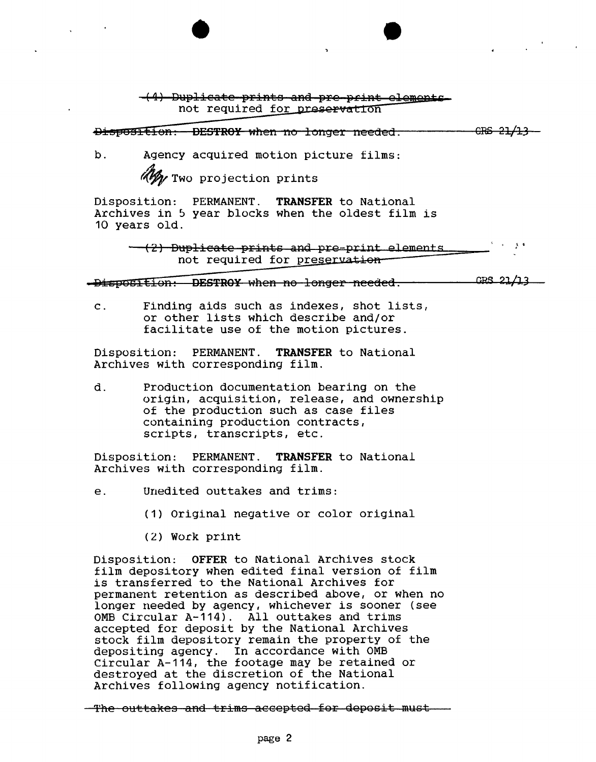-(4) Duplicate prints and pre-print elements not required for preservation

DispOSItion: DESTROY when no longer needed.

NWML

b. Agency acquired motion picture films:

Wy Two projection prints

•

Disposition: PERMANENT. **TRANSFER** to National Archives in 5 year blocks when the oldest film is 10 years old.

> .' . -(2) Duplicate prints and pre-print elements not required for preservation-

-Disposition: DESTROY when no longer needed. CRS 21/13

c. Finding aids such as indexes, shot lists, or other lists which describe and/or facilitate use of the motion pictures.

Disposition: PERMANENT. **TRANSFER** to National Archives with corresponding film.

d. Production documentation bearing on the origin, acquisition, release, and ownership of the production such as case files containing production contracts, scripts, transcripts, etc.

Disposition: PERMANENT. **TRANSFER** to National Archives with corresponding film.

- e. Unedited outtakes and trims:
	- (1) Original negative or color original
	- (2) Work print

Disposition: **OFFER** to National Archives stock film depository when edited final version of film is transferred to the National Archives for permanent retention as described above, or when no longer needed by agency, whichever is sooner (see OMB Circular A-114). All outtakes and trims accepted for deposit by the National Archives stock film depository remain the property of the depositing agency. In accordance with OMB Circular A-114, the footage may be retained or destroyed at the discretion of the National Archives following agency notification.

The outtakes and trims accepted for deposit must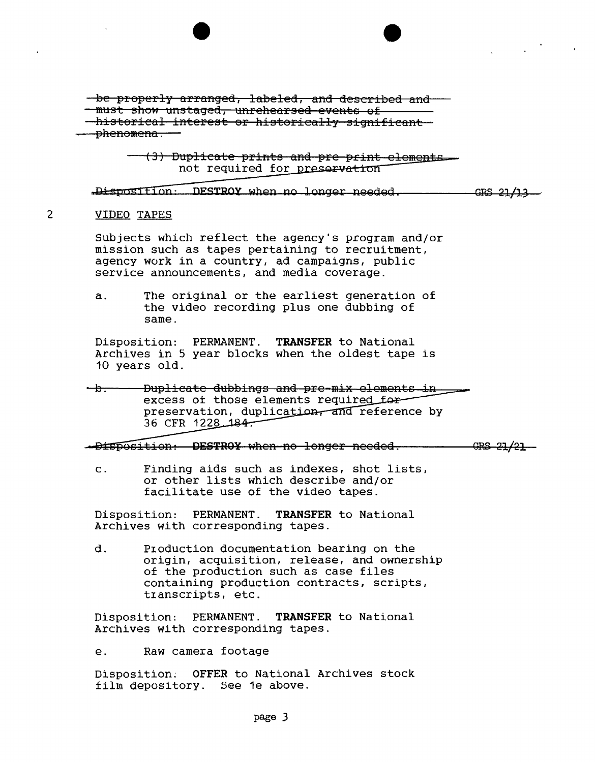-be properly arranged, labeled, and described and must show unstaged, unrehearsed events of historical interest or historically significant phenomena.

> (3) Duplicate prints and pre print elements not required for preservation

Disposition: DESTROY when no longer needed. GBS 21/13

NWML

## $\mathcal{P}$ VIDEO TAPES

Subjects which reflect the agency's program and/or mission such as tapes pertaining to recruitment, agency work in a country, ad campaigns, public service announcements, and media coverage.

a. The original or the earliest generation of the video recording plus one dubbing of same.

Disposition: PERMANENT. **TRANSFER** to National Archives in 5 year blocks when the oldest tape is 10 years old.

Duplicate dubbings and pre-mix elements in —<del>b—</del> excess of those elements required for preservation, duplication, and reference by 36 CFR 1228 184.

Disposition: DESTROY when no longer needed.  $GRS - 27/21 -$ 

c. Finding aids such as indexes, shot lists, or other lists which describe and/or facilitate use of the video tapes.

Disposition: PERMANENT. **TRANSFER** to National Archives with corresponding tapes.

d. Production documentation bearing on the origin, acquisition, release, and ownership of the production such as case files containing production contracts, scripts, tIanscripts, etc.

Disposition: PERMANENT. **TRANSFER** to National Archives with corresponding tapes.

e. Raw camera footage

Disposition: **OFFER** to National Archives stock film depository. See 1e above.